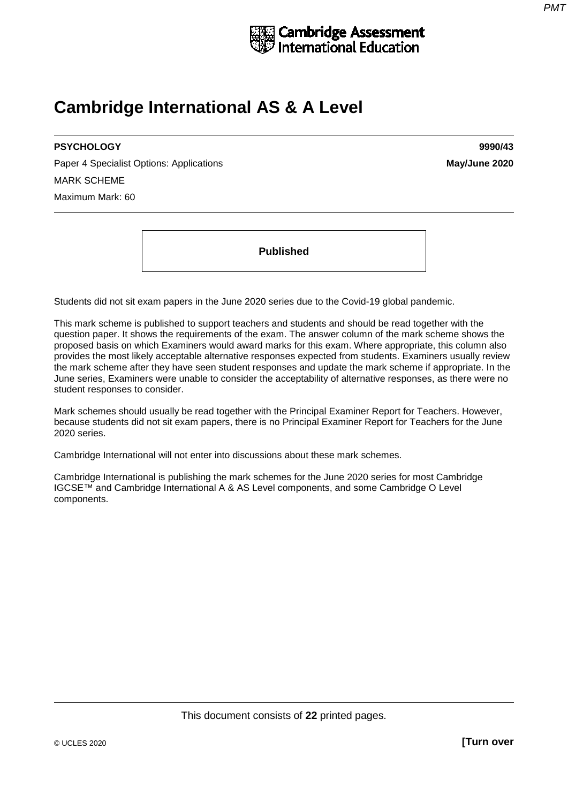

# **Cambridge International AS & A Level**

# **PSYCHOLOGY 9990/43**

Paper 4 Specialist Options: Applications **May/June 2020** MARK SCHEME Maximum Mark: 60

**Published**

Students did not sit exam papers in the June 2020 series due to the Covid-19 global pandemic.

This mark scheme is published to support teachers and students and should be read together with the question paper. It shows the requirements of the exam. The answer column of the mark scheme shows the proposed basis on which Examiners would award marks for this exam. Where appropriate, this column also provides the most likely acceptable alternative responses expected from students. Examiners usually review the mark scheme after they have seen student responses and update the mark scheme if appropriate. In the June series, Examiners were unable to consider the acceptability of alternative responses, as there were no student responses to consider.

Mark schemes should usually be read together with the Principal Examiner Report for Teachers. However, because students did not sit exam papers, there is no Principal Examiner Report for Teachers for the June 2020 series.

Cambridge International will not enter into discussions about these mark schemes.

Cambridge International is publishing the mark schemes for the June 2020 series for most Cambridge IGCSE™ and Cambridge International A & AS Level components, and some Cambridge O Level components.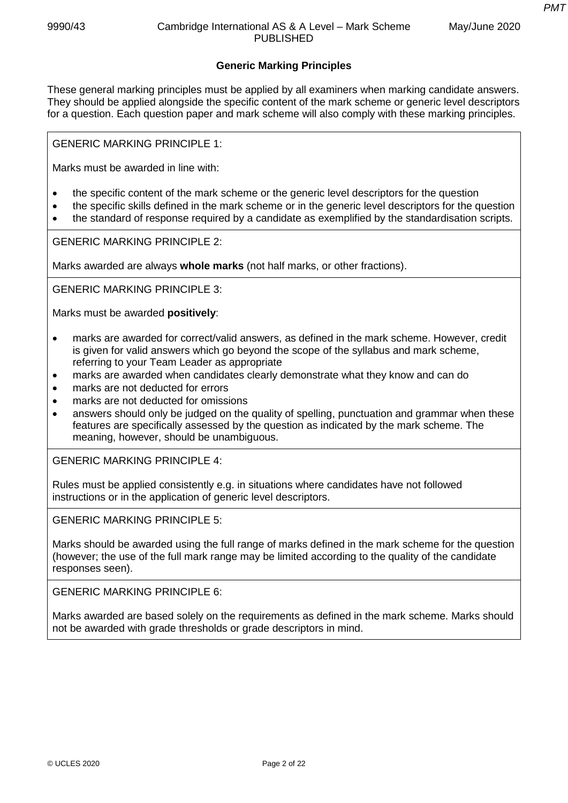*PMT*

# **Generic Marking Principles**

These general marking principles must be applied by all examiners when marking candidate answers. They should be applied alongside the specific content of the mark scheme or generic level descriptors for a question. Each question paper and mark scheme will also comply with these marking principles.

GENERIC MARKING PRINCIPLE 1:

Marks must be awarded in line with:

- the specific content of the mark scheme or the generic level descriptors for the question
- the specific skills defined in the mark scheme or in the generic level descriptors for the question
- the standard of response required by a candidate as exemplified by the standardisation scripts.

GENERIC MARKING PRINCIPLE 2:

Marks awarded are always **whole marks** (not half marks, or other fractions).

GENERIC MARKING PRINCIPLE 3:

Marks must be awarded **positively**:

- marks are awarded for correct/valid answers, as defined in the mark scheme. However, credit is given for valid answers which go beyond the scope of the syllabus and mark scheme, referring to your Team Leader as appropriate
- marks are awarded when candidates clearly demonstrate what they know and can do
- marks are not deducted for errors
- marks are not deducted for omissions
- answers should only be judged on the quality of spelling, punctuation and grammar when these features are specifically assessed by the question as indicated by the mark scheme. The meaning, however, should be unambiguous.

GENERIC MARKING PRINCIPLE 4:

Rules must be applied consistently e.g. in situations where candidates have not followed instructions or in the application of generic level descriptors.

GENERIC MARKING PRINCIPLE 5:

Marks should be awarded using the full range of marks defined in the mark scheme for the question (however; the use of the full mark range may be limited according to the quality of the candidate responses seen).

GENERIC MARKING PRINCIPLE 6:

Marks awarded are based solely on the requirements as defined in the mark scheme. Marks should not be awarded with grade thresholds or grade descriptors in mind.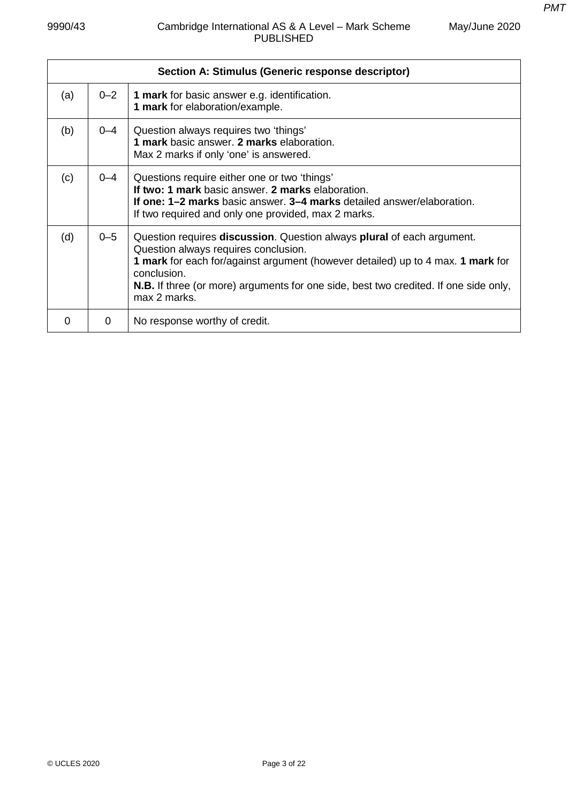| e | May/June 2020 |
|---|---------------|
|   |               |

|     |         | Section A: Stimulus (Generic response descriptor)                                                                                                                                                                                                                                                                               |
|-----|---------|---------------------------------------------------------------------------------------------------------------------------------------------------------------------------------------------------------------------------------------------------------------------------------------------------------------------------------|
| (a) | $0 - 2$ | <b>1 mark</b> for basic answer e.g. identification.<br>1 mark for elaboration/example.                                                                                                                                                                                                                                          |
| (b) | $0 - 4$ | Question always requires two 'things'<br>1 mark basic answer. 2 marks elaboration.<br>Max 2 marks if only 'one' is answered.                                                                                                                                                                                                    |
| (c) | $0 - 4$ | Questions require either one or two 'things'<br>If two: 1 mark basic answer. 2 marks elaboration.<br>If one: 1-2 marks basic answer. 3-4 marks detailed answer/elaboration.<br>If two required and only one provided, max 2 marks.                                                                                              |
| (d) | $0 - 5$ | Question requires discussion. Question always plural of each argument.<br>Question always requires conclusion.<br>1 mark for each for/against argument (however detailed) up to 4 max. 1 mark for<br>conclusion.<br><b>N.B.</b> If three (or more) arguments for one side, best two credited. If one side only,<br>max 2 marks. |
| O   | 0       | No response worthy of credit.                                                                                                                                                                                                                                                                                                   |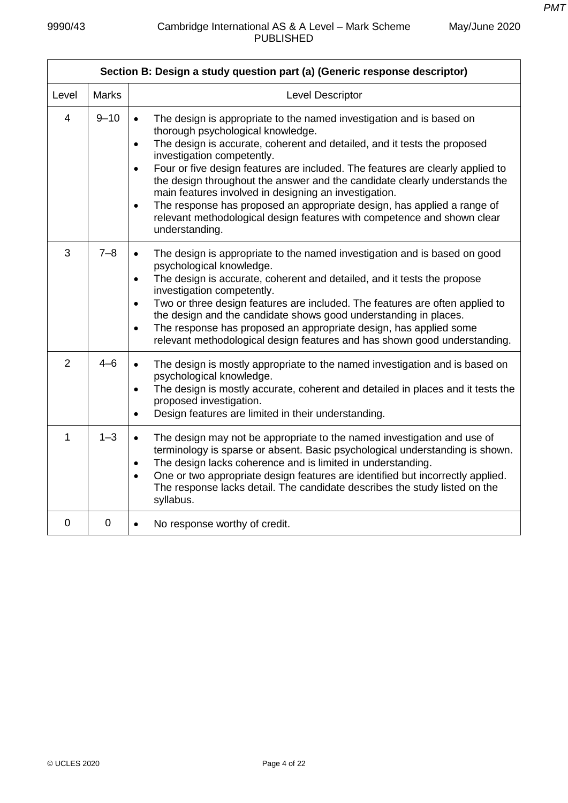$\mathbf{r}$ 

|                | Section B: Design a study question part (a) (Generic response descriptor) |                                                                                                                                                                                                                                                                                                                                                                                                                                                                                                                                                                                                                                                                          |  |  |  |
|----------------|---------------------------------------------------------------------------|--------------------------------------------------------------------------------------------------------------------------------------------------------------------------------------------------------------------------------------------------------------------------------------------------------------------------------------------------------------------------------------------------------------------------------------------------------------------------------------------------------------------------------------------------------------------------------------------------------------------------------------------------------------------------|--|--|--|
| Level          | <b>Marks</b>                                                              | Level Descriptor                                                                                                                                                                                                                                                                                                                                                                                                                                                                                                                                                                                                                                                         |  |  |  |
| $\overline{4}$ | $9 - 10$                                                                  | The design is appropriate to the named investigation and is based on<br>$\bullet$<br>thorough psychological knowledge.<br>The design is accurate, coherent and detailed, and it tests the proposed<br>$\bullet$<br>investigation competently.<br>Four or five design features are included. The features are clearly applied to<br>$\bullet$<br>the design throughout the answer and the candidate clearly understands the<br>main features involved in designing an investigation.<br>The response has proposed an appropriate design, has applied a range of<br>$\bullet$<br>relevant methodological design features with competence and shown clear<br>understanding. |  |  |  |
| 3              | $7 - 8$                                                                   | The design is appropriate to the named investigation and is based on good<br>$\bullet$<br>psychological knowledge.<br>The design is accurate, coherent and detailed, and it tests the propose<br>$\bullet$<br>investigation competently.<br>Two or three design features are included. The features are often applied to<br>$\bullet$<br>the design and the candidate shows good understanding in places.<br>The response has proposed an appropriate design, has applied some<br>$\bullet$<br>relevant methodological design features and has shown good understanding.                                                                                                 |  |  |  |
| 2              | $4 - 6$                                                                   | The design is mostly appropriate to the named investigation and is based on<br>$\bullet$<br>psychological knowledge.<br>The design is mostly accurate, coherent and detailed in places and it tests the<br>$\bullet$<br>proposed investigation.<br>Design features are limited in their understanding.<br>$\bullet$                                                                                                                                                                                                                                                                                                                                                      |  |  |  |
| 1              | $1 - 3$                                                                   | The design may not be appropriate to the named investigation and use of<br>$\bullet$<br>terminology is sparse or absent. Basic psychological understanding is shown.<br>The design lacks coherence and is limited in understanding.<br>$\bullet$<br>One or two appropriate design features are identified but incorrectly applied.<br>$\bullet$<br>The response lacks detail. The candidate describes the study listed on the<br>syllabus.                                                                                                                                                                                                                               |  |  |  |
| $\overline{0}$ | $\mathbf 0$                                                               | No response worthy of credit.<br>$\bullet$                                                                                                                                                                                                                                                                                                                                                                                                                                                                                                                                                                                                                               |  |  |  |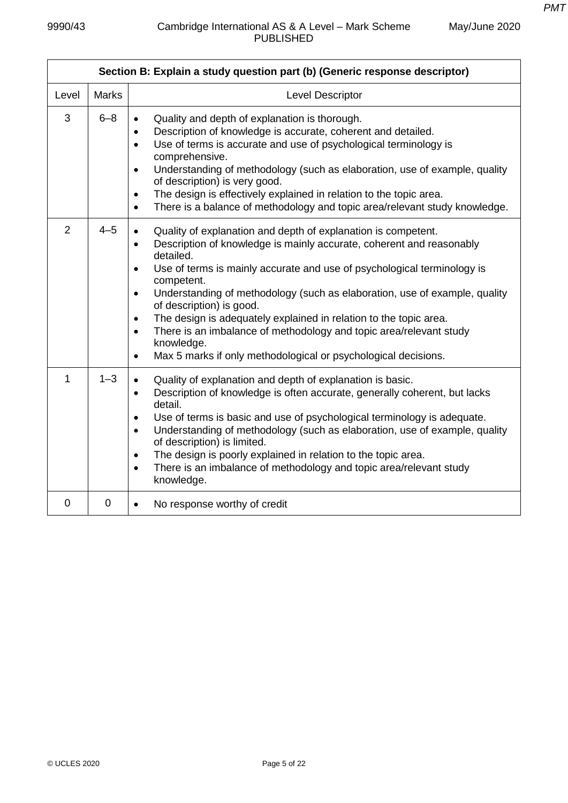|                | Section B: Explain a study question part (b) (Generic response descriptor) |                                                                                                                                                                                                                                                                                                                                                                                                                                                                                                                                                                                                                                                                             |  |
|----------------|----------------------------------------------------------------------------|-----------------------------------------------------------------------------------------------------------------------------------------------------------------------------------------------------------------------------------------------------------------------------------------------------------------------------------------------------------------------------------------------------------------------------------------------------------------------------------------------------------------------------------------------------------------------------------------------------------------------------------------------------------------------------|--|
| Level          | <b>Marks</b>                                                               | Level Descriptor                                                                                                                                                                                                                                                                                                                                                                                                                                                                                                                                                                                                                                                            |  |
| 3              | $6 - 8$                                                                    | Quality and depth of explanation is thorough.<br>Description of knowledge is accurate, coherent and detailed.<br>$\bullet$<br>Use of terms is accurate and use of psychological terminology is<br>$\bullet$<br>comprehensive.<br>Understanding of methodology (such as elaboration, use of example, quality<br>$\bullet$<br>of description) is very good.<br>The design is effectively explained in relation to the topic area.<br>$\bullet$<br>There is a balance of methodology and topic area/relevant study knowledge.<br>$\bullet$                                                                                                                                     |  |
| $\overline{2}$ | $4 - 5$                                                                    | Quality of explanation and depth of explanation is competent.<br>$\bullet$<br>Description of knowledge is mainly accurate, coherent and reasonably<br>$\bullet$<br>detailed.<br>Use of terms is mainly accurate and use of psychological terminology is<br>$\bullet$<br>competent.<br>Understanding of methodology (such as elaboration, use of example, quality<br>$\bullet$<br>of description) is good.<br>The design is adequately explained in relation to the topic area.<br>$\bullet$<br>There is an imbalance of methodology and topic area/relevant study<br>$\bullet$<br>knowledge.<br>Max 5 marks if only methodological or psychological decisions.<br>$\bullet$ |  |
| $\mathbf{1}$   | $1 - 3$                                                                    | Quality of explanation and depth of explanation is basic.<br>$\bullet$<br>Description of knowledge is often accurate, generally coherent, but lacks<br>$\bullet$<br>detail.<br>Use of terms is basic and use of psychological terminology is adequate.<br>$\bullet$<br>Understanding of methodology (such as elaboration, use of example, quality<br>$\bullet$<br>of description) is limited.<br>The design is poorly explained in relation to the topic area.<br>$\bullet$<br>There is an imbalance of methodology and topic area/relevant study<br>$\bullet$<br>knowledge.                                                                                                |  |
| 0              | $\mathbf 0$                                                                | No response worthy of credit<br>$\bullet$                                                                                                                                                                                                                                                                                                                                                                                                                                                                                                                                                                                                                                   |  |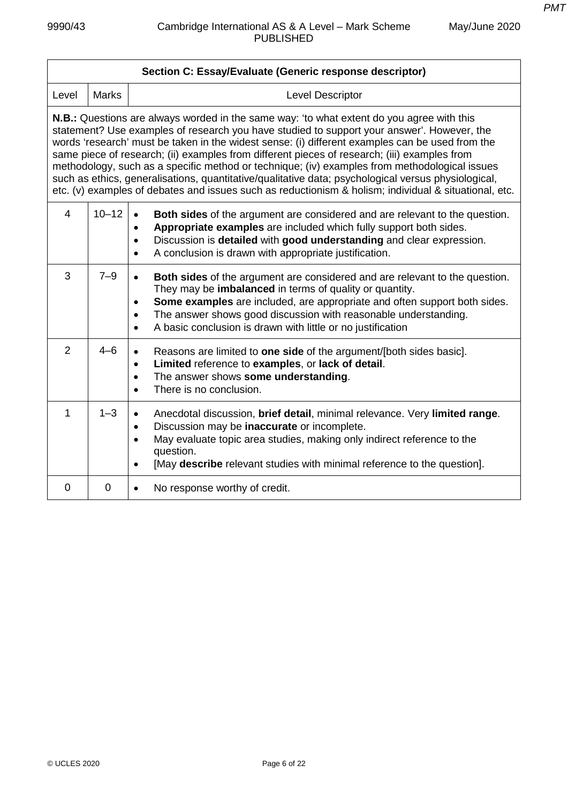| Section C: Essay/Evaluate (Generic response descriptor)                                                                                                                                                                                                                                                                                                                                                                                                                                                                                                                                                                                                                                                            |                |                                                                                                                                                                                                                                                                                                                                                                                                                  |  |
|--------------------------------------------------------------------------------------------------------------------------------------------------------------------------------------------------------------------------------------------------------------------------------------------------------------------------------------------------------------------------------------------------------------------------------------------------------------------------------------------------------------------------------------------------------------------------------------------------------------------------------------------------------------------------------------------------------------------|----------------|------------------------------------------------------------------------------------------------------------------------------------------------------------------------------------------------------------------------------------------------------------------------------------------------------------------------------------------------------------------------------------------------------------------|--|
| Level                                                                                                                                                                                                                                                                                                                                                                                                                                                                                                                                                                                                                                                                                                              | <b>Marks</b>   | <b>Level Descriptor</b>                                                                                                                                                                                                                                                                                                                                                                                          |  |
| <b>N.B.:</b> Questions are always worded in the same way: 'to what extent do you agree with this<br>statement? Use examples of research you have studied to support your answer'. However, the<br>words 'research' must be taken in the widest sense: (i) different examples can be used from the<br>same piece of research; (ii) examples from different pieces of research; (iii) examples from<br>methodology, such as a specific method or technique; (iv) examples from methodological issues<br>such as ethics, generalisations, quantitative/qualitative data; psychological versus physiological,<br>etc. (v) examples of debates and issues such as reductionism & holism; individual & situational, etc. |                |                                                                                                                                                                                                                                                                                                                                                                                                                  |  |
| $\overline{4}$                                                                                                                                                                                                                                                                                                                                                                                                                                                                                                                                                                                                                                                                                                     | $10 - 12$      | <b>Both sides</b> of the argument are considered and are relevant to the question.<br>$\bullet$<br>Appropriate examples are included which fully support both sides.<br>$\bullet$<br>Discussion is detailed with good understanding and clear expression.<br>$\bullet$<br>A conclusion is drawn with appropriate justification.<br>$\bullet$                                                                     |  |
| 3                                                                                                                                                                                                                                                                                                                                                                                                                                                                                                                                                                                                                                                                                                                  | $7 - 9$        | Both sides of the argument are considered and are relevant to the question.<br>$\bullet$<br>They may be <i>imbalanced</i> in terms of quality or quantity.<br>Some examples are included, are appropriate and often support both sides.<br>$\bullet$<br>The answer shows good discussion with reasonable understanding.<br>$\bullet$<br>A basic conclusion is drawn with little or no justification<br>$\bullet$ |  |
| 2                                                                                                                                                                                                                                                                                                                                                                                                                                                                                                                                                                                                                                                                                                                  | $4 - 6$        | Reasons are limited to one side of the argument/[both sides basic].<br>Limited reference to examples, or lack of detail.<br>$\bullet$<br>The answer shows some understanding.<br>$\bullet$<br>There is no conclusion.<br>$\bullet$                                                                                                                                                                               |  |
| 1                                                                                                                                                                                                                                                                                                                                                                                                                                                                                                                                                                                                                                                                                                                  | $1 - 3$        | Anecdotal discussion, brief detail, minimal relevance. Very limited range.<br>Discussion may be inaccurate or incomplete.<br>$\bullet$<br>May evaluate topic area studies, making only indirect reference to the<br>question.<br>[May describe relevant studies with minimal reference to the question].<br>$\bullet$                                                                                            |  |
| $\Omega$                                                                                                                                                                                                                                                                                                                                                                                                                                                                                                                                                                                                                                                                                                           | $\overline{0}$ | No response worthy of credit.<br>$\bullet$                                                                                                                                                                                                                                                                                                                                                                       |  |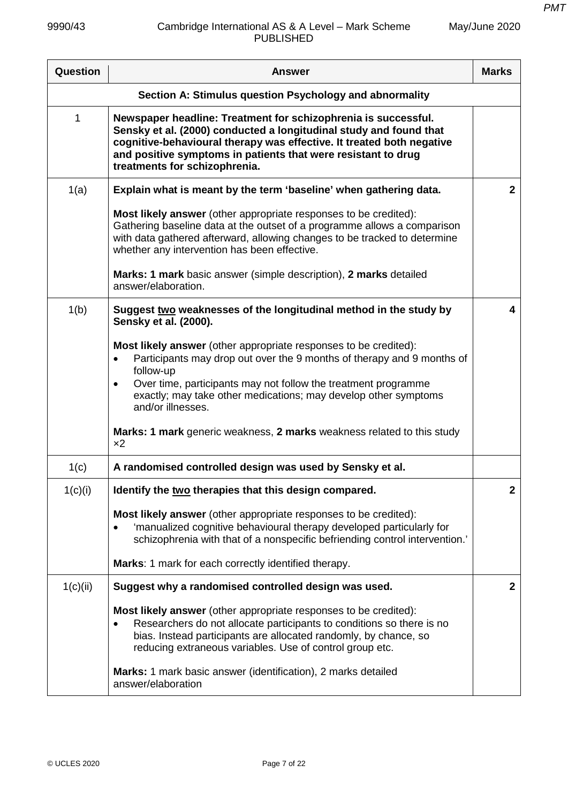| Question | <b>Answer</b>                                                                                                                                                                                                                                                                                                                                                                                                               | <b>Marks</b> |
|----------|-----------------------------------------------------------------------------------------------------------------------------------------------------------------------------------------------------------------------------------------------------------------------------------------------------------------------------------------------------------------------------------------------------------------------------|--------------|
|          | Section A: Stimulus question Psychology and abnormality                                                                                                                                                                                                                                                                                                                                                                     |              |
| 1        | Newspaper headline: Treatment for schizophrenia is successful.<br>Sensky et al. (2000) conducted a longitudinal study and found that<br>cognitive-behavioural therapy was effective. It treated both negative<br>and positive symptoms in patients that were resistant to drug<br>treatments for schizophrenia.                                                                                                             |              |
| 1(a)     | Explain what is meant by the term 'baseline' when gathering data.                                                                                                                                                                                                                                                                                                                                                           | $\mathbf{2}$ |
|          | <b>Most likely answer</b> (other appropriate responses to be credited):<br>Gathering baseline data at the outset of a programme allows a comparison<br>with data gathered afterward, allowing changes to be tracked to determine<br>whether any intervention has been effective.                                                                                                                                            |              |
|          | <b>Marks: 1 mark</b> basic answer (simple description), 2 marks detailed<br>answer/elaboration.                                                                                                                                                                                                                                                                                                                             |              |
| 1(b)     | Suggest two weaknesses of the longitudinal method in the study by<br>Sensky et al. (2000).                                                                                                                                                                                                                                                                                                                                  | 4            |
|          | Most likely answer (other appropriate responses to be credited):<br>Participants may drop out over the 9 months of therapy and 9 months of<br>$\bullet$<br>follow-up<br>Over time, participants may not follow the treatment programme<br>$\bullet$<br>exactly; may take other medications; may develop other symptoms<br>and/or illnesses.<br>Marks: 1 mark generic weakness, 2 marks weakness related to this study<br>x2 |              |
| 1(c)     | A randomised controlled design was used by Sensky et al.                                                                                                                                                                                                                                                                                                                                                                    |              |
| 1(c)(i)  | Identify the two therapies that this design compared.                                                                                                                                                                                                                                                                                                                                                                       | 2            |
|          | Most likely answer (other appropriate responses to be credited):<br>'manualized cognitive behavioural therapy developed particularly for<br>schizophrenia with that of a nonspecific befriending control intervention.'                                                                                                                                                                                                     |              |
|          | Marks: 1 mark for each correctly identified therapy.                                                                                                                                                                                                                                                                                                                                                                        |              |
| 1(c)(ii) | Suggest why a randomised controlled design was used.                                                                                                                                                                                                                                                                                                                                                                        | $\mathbf{2}$ |
|          | Most likely answer (other appropriate responses to be credited):<br>Researchers do not allocate participants to conditions so there is no<br>bias. Instead participants are allocated randomly, by chance, so<br>reducing extraneous variables. Use of control group etc.                                                                                                                                                   |              |
|          | Marks: 1 mark basic answer (identification), 2 marks detailed<br>answer/elaboration                                                                                                                                                                                                                                                                                                                                         |              |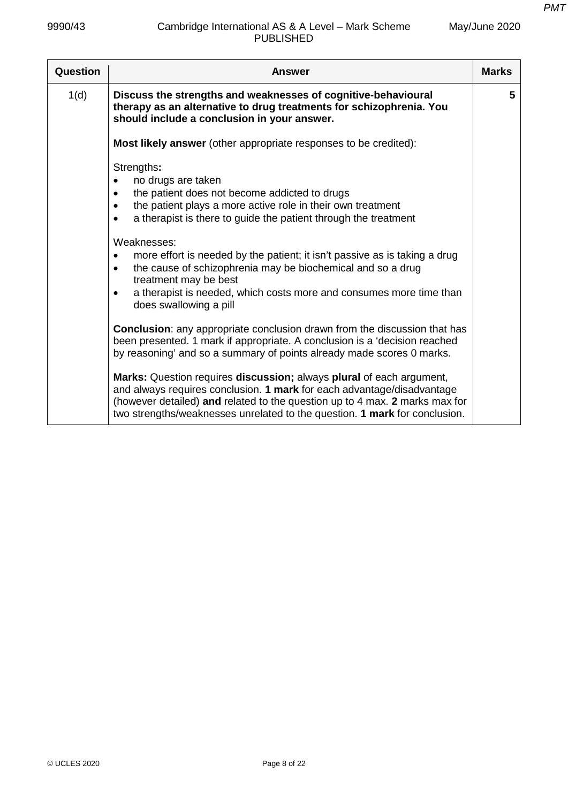| May/June 2020 |  |
|---------------|--|
|---------------|--|

| Question | <b>Answer</b>                                                                                                                                                                                                                                                                                               | <b>Marks</b> |
|----------|-------------------------------------------------------------------------------------------------------------------------------------------------------------------------------------------------------------------------------------------------------------------------------------------------------------|--------------|
| 1(d)     | Discuss the strengths and weaknesses of cognitive-behavioural<br>therapy as an alternative to drug treatments for schizophrenia. You<br>should include a conclusion in your answer.                                                                                                                         | 5            |
|          | <b>Most likely answer</b> (other appropriate responses to be credited):                                                                                                                                                                                                                                     |              |
|          | Strengths:<br>no drugs are taken<br>٠<br>the patient does not become addicted to drugs<br>the patient plays a more active role in their own treatment<br>٠<br>a therapist is there to guide the patient through the treatment<br>$\bullet$                                                                  |              |
|          | Weaknesses:<br>more effort is needed by the patient; it isn't passive as is taking a drug<br>the cause of schizophrenia may be biochemical and so a drug<br>treatment may be best<br>a therapist is needed, which costs more and consumes more time than<br>$\bullet$<br>does swallowing a pill             |              |
|          | <b>Conclusion:</b> any appropriate conclusion drawn from the discussion that has<br>been presented. 1 mark if appropriate. A conclusion is a 'decision reached<br>by reasoning' and so a summary of points already made scores 0 marks.                                                                     |              |
|          | Marks: Question requires discussion; always plural of each argument,<br>and always requires conclusion. 1 mark for each advantage/disadvantage<br>(however detailed) and related to the question up to 4 max. 2 marks max for<br>two strengths/weaknesses unrelated to the question. 1 mark for conclusion. |              |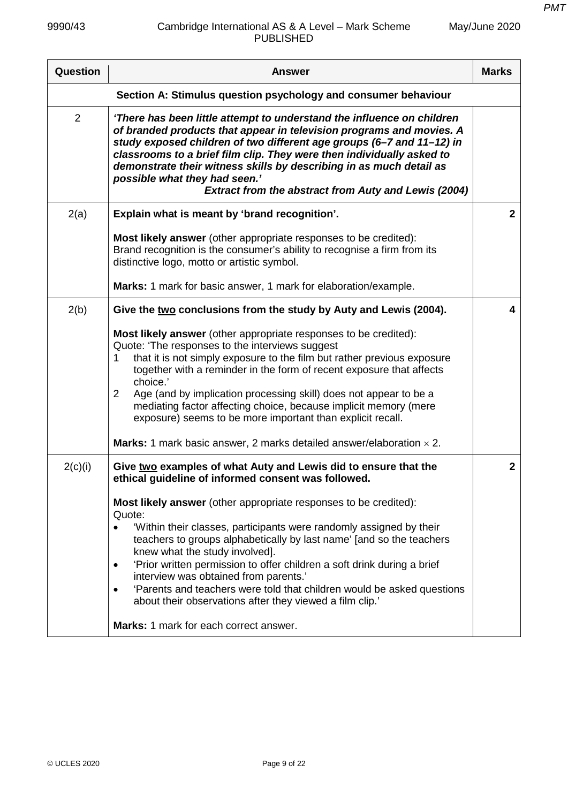| Question                                                       | <b>Answer</b>                                                                                                                                                                                                                                                                                                                                                                                                                                                                                                                                                                    | <b>Marks</b> |
|----------------------------------------------------------------|----------------------------------------------------------------------------------------------------------------------------------------------------------------------------------------------------------------------------------------------------------------------------------------------------------------------------------------------------------------------------------------------------------------------------------------------------------------------------------------------------------------------------------------------------------------------------------|--------------|
| Section A: Stimulus question psychology and consumer behaviour |                                                                                                                                                                                                                                                                                                                                                                                                                                                                                                                                                                                  |              |
| 2                                                              | 'There has been little attempt to understand the influence on children<br>of branded products that appear in television programs and movies. A<br>study exposed children of two different age groups (6-7 and 11-12) in<br>classrooms to a brief film clip. They were then individually asked to<br>demonstrate their witness skills by describing in as much detail as<br>possible what they had seen.'<br><b>Extract from the abstract from Auty and Lewis (2004)</b>                                                                                                          |              |
| 2(a)                                                           | Explain what is meant by 'brand recognition'.                                                                                                                                                                                                                                                                                                                                                                                                                                                                                                                                    | $\mathbf{2}$ |
|                                                                | Most likely answer (other appropriate responses to be credited):<br>Brand recognition is the consumer's ability to recognise a firm from its<br>distinctive logo, motto or artistic symbol.                                                                                                                                                                                                                                                                                                                                                                                      |              |
|                                                                | Marks: 1 mark for basic answer, 1 mark for elaboration/example.                                                                                                                                                                                                                                                                                                                                                                                                                                                                                                                  |              |
| 2(b)                                                           | Give the two conclusions from the study by Auty and Lewis (2004).<br>Most likely answer (other appropriate responses to be credited):                                                                                                                                                                                                                                                                                                                                                                                                                                            | 4            |
|                                                                | Quote: 'The responses to the interviews suggest<br>that it is not simply exposure to the film but rather previous exposure<br>1<br>together with a reminder in the form of recent exposure that affects<br>choice.'<br>Age (and by implication processing skill) does not appear to be a<br>2<br>mediating factor affecting choice, because implicit memory (mere                                                                                                                                                                                                                |              |
|                                                                | exposure) seems to be more important than explicit recall.<br><b>Marks:</b> 1 mark basic answer, 2 marks detailed answer/elaboration $\times$ 2.                                                                                                                                                                                                                                                                                                                                                                                                                                 |              |
| 2(c)(i)                                                        | Give two examples of what Auty and Lewis did to ensure that the<br>ethical guideline of informed consent was followed.                                                                                                                                                                                                                                                                                                                                                                                                                                                           | $\mathbf{2}$ |
|                                                                | Most likely answer (other appropriate responses to be credited):<br>Quote:<br>'Within their classes, participants were randomly assigned by their<br>teachers to groups alphabetically by last name' [and so the teachers<br>knew what the study involved].<br>'Prior written permission to offer children a soft drink during a brief<br>٠<br>interview was obtained from parents.'<br>'Parents and teachers were told that children would be asked questions<br>٠<br>about their observations after they viewed a film clip.'<br><b>Marks: 1 mark for each correct answer.</b> |              |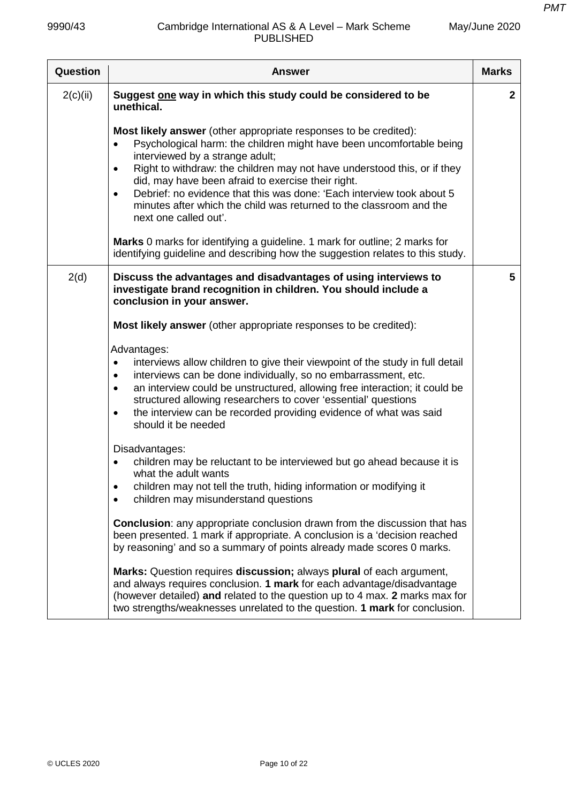| Question | <b>Answer</b>                                                                                                                                                                                                                                                                                                                                                                                                                                                                                                    | <b>Marks</b> |
|----------|------------------------------------------------------------------------------------------------------------------------------------------------------------------------------------------------------------------------------------------------------------------------------------------------------------------------------------------------------------------------------------------------------------------------------------------------------------------------------------------------------------------|--------------|
| 2(c)(ii) | Suggest one way in which this study could be considered to be<br>unethical.                                                                                                                                                                                                                                                                                                                                                                                                                                      | $\mathbf{2}$ |
|          | Most likely answer (other appropriate responses to be credited):<br>Psychological harm: the children might have been uncomfortable being<br>interviewed by a strange adult;<br>Right to withdraw: the children may not have understood this, or if they<br>$\bullet$<br>did, may have been afraid to exercise their right.<br>Debrief: no evidence that this was done: 'Each interview took about 5<br>$\bullet$<br>minutes after which the child was returned to the classroom and the<br>next one called out'. |              |
|          | Marks 0 marks for identifying a guideline. 1 mark for outline; 2 marks for<br>identifying guideline and describing how the suggestion relates to this study.                                                                                                                                                                                                                                                                                                                                                     |              |
| 2(d)     | Discuss the advantages and disadvantages of using interviews to<br>investigate brand recognition in children. You should include a<br>conclusion in your answer.                                                                                                                                                                                                                                                                                                                                                 | 5            |
|          | Most likely answer (other appropriate responses to be credited):                                                                                                                                                                                                                                                                                                                                                                                                                                                 |              |
|          | Advantages:<br>interviews allow children to give their viewpoint of the study in full detail<br>$\bullet$<br>interviews can be done individually, so no embarrassment, etc.<br>$\bullet$<br>an interview could be unstructured, allowing free interaction; it could be<br>$\bullet$<br>structured allowing researchers to cover 'essential' questions<br>the interview can be recorded providing evidence of what was said<br>$\bullet$<br>should it be needed                                                   |              |
|          | Disadvantages:<br>children may be reluctant to be interviewed but go ahead because it is<br>$\bullet$<br>what the adult wants<br>children may not tell the truth, hiding information or modifying it<br>children may misunderstand questions                                                                                                                                                                                                                                                                     |              |
|          | <b>Conclusion:</b> any appropriate conclusion drawn from the discussion that has<br>been presented. 1 mark if appropriate. A conclusion is a 'decision reached<br>by reasoning' and so a summary of points already made scores 0 marks.                                                                                                                                                                                                                                                                          |              |
|          | Marks: Question requires discussion; always plural of each argument,<br>and always requires conclusion. 1 mark for each advantage/disadvantage<br>(however detailed) and related to the question up to 4 max. 2 marks max for<br>two strengths/weaknesses unrelated to the question. 1 mark for conclusion.                                                                                                                                                                                                      |              |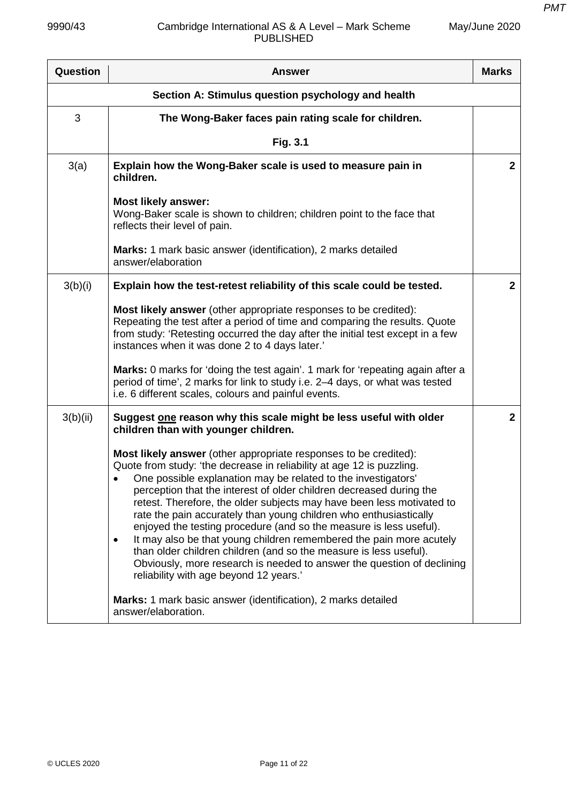| Question                                           | <b>Answer</b>                                                                                                                                                                                                                                                                                                                                                                                                                                                                                                                                                                                                                                                                                                                                                                      | <b>Marks</b> |
|----------------------------------------------------|------------------------------------------------------------------------------------------------------------------------------------------------------------------------------------------------------------------------------------------------------------------------------------------------------------------------------------------------------------------------------------------------------------------------------------------------------------------------------------------------------------------------------------------------------------------------------------------------------------------------------------------------------------------------------------------------------------------------------------------------------------------------------------|--------------|
| Section A: Stimulus question psychology and health |                                                                                                                                                                                                                                                                                                                                                                                                                                                                                                                                                                                                                                                                                                                                                                                    |              |
| 3                                                  | The Wong-Baker faces pain rating scale for children.                                                                                                                                                                                                                                                                                                                                                                                                                                                                                                                                                                                                                                                                                                                               |              |
|                                                    | Fig. 3.1                                                                                                                                                                                                                                                                                                                                                                                                                                                                                                                                                                                                                                                                                                                                                                           |              |
| 3(a)                                               | Explain how the Wong-Baker scale is used to measure pain in<br>children.                                                                                                                                                                                                                                                                                                                                                                                                                                                                                                                                                                                                                                                                                                           | $\mathbf{2}$ |
|                                                    | <b>Most likely answer:</b><br>Wong-Baker scale is shown to children; children point to the face that<br>reflects their level of pain.                                                                                                                                                                                                                                                                                                                                                                                                                                                                                                                                                                                                                                              |              |
|                                                    | <b>Marks:</b> 1 mark basic answer (identification), 2 marks detailed<br>answer/elaboration                                                                                                                                                                                                                                                                                                                                                                                                                                                                                                                                                                                                                                                                                         |              |
| 3(b)(i)                                            | Explain how the test-retest reliability of this scale could be tested.                                                                                                                                                                                                                                                                                                                                                                                                                                                                                                                                                                                                                                                                                                             | $\mathbf{2}$ |
|                                                    | Most likely answer (other appropriate responses to be credited):<br>Repeating the test after a period of time and comparing the results. Quote<br>from study: 'Retesting occurred the day after the initial test except in a few<br>instances when it was done 2 to 4 days later.'                                                                                                                                                                                                                                                                                                                                                                                                                                                                                                 |              |
|                                                    | Marks: 0 marks for 'doing the test again'. 1 mark for 'repeating again after a<br>period of time', 2 marks for link to study i.e. 2-4 days, or what was tested<br>i.e. 6 different scales, colours and painful events.                                                                                                                                                                                                                                                                                                                                                                                                                                                                                                                                                             |              |
| 3(b)(ii)                                           | Suggest one reason why this scale might be less useful with older<br>children than with younger children.                                                                                                                                                                                                                                                                                                                                                                                                                                                                                                                                                                                                                                                                          | $\mathbf{2}$ |
|                                                    | Most likely answer (other appropriate responses to be credited):<br>Quote from study: 'the decrease in reliability at age 12 is puzzling.<br>One possible explanation may be related to the investigators'<br>perception that the interest of older children decreased during the<br>retest. Therefore, the older subjects may have been less motivated to<br>rate the pain accurately than young children who enthusiastically<br>enjoyed the testing procedure (and so the measure is less useful).<br>It may also be that young children remembered the pain more acutely<br>$\bullet$<br>than older children children (and so the measure is less useful).<br>Obviously, more research is needed to answer the question of declining<br>reliability with age beyond 12 years.' |              |
|                                                    | Marks: 1 mark basic answer (identification), 2 marks detailed<br>answer/elaboration.                                                                                                                                                                                                                                                                                                                                                                                                                                                                                                                                                                                                                                                                                               |              |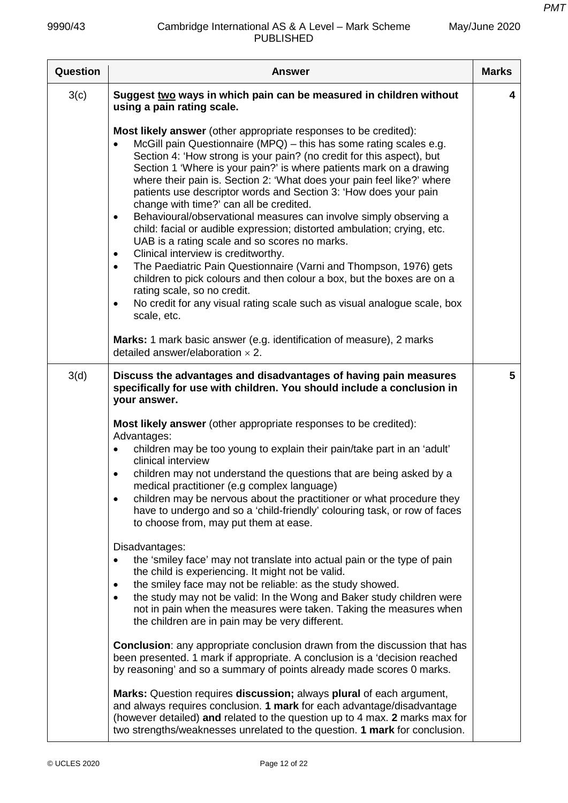| Question | <b>Answer</b>                                                                                                                                                                                                                                                                                                                                                                                                                                                                                                                                                                                                                                                                                                                                                                                                                                                                                                                                                                                                                                                            | <b>Marks</b> |
|----------|--------------------------------------------------------------------------------------------------------------------------------------------------------------------------------------------------------------------------------------------------------------------------------------------------------------------------------------------------------------------------------------------------------------------------------------------------------------------------------------------------------------------------------------------------------------------------------------------------------------------------------------------------------------------------------------------------------------------------------------------------------------------------------------------------------------------------------------------------------------------------------------------------------------------------------------------------------------------------------------------------------------------------------------------------------------------------|--------------|
| 3(c)     | Suggest two ways in which pain can be measured in children without<br>using a pain rating scale.                                                                                                                                                                                                                                                                                                                                                                                                                                                                                                                                                                                                                                                                                                                                                                                                                                                                                                                                                                         | 4            |
|          | <b>Most likely answer</b> (other appropriate responses to be credited):<br>McGill pain Questionnaire (MPQ) - this has some rating scales e.g.<br>$\bullet$<br>Section 4: 'How strong is your pain? (no credit for this aspect), but<br>Section 1 'Where is your pain?' is where patients mark on a drawing<br>where their pain is. Section 2: 'What does your pain feel like?' where<br>patients use descriptor words and Section 3: 'How does your pain<br>change with time?' can all be credited.<br>Behavioural/observational measures can involve simply observing a<br>$\bullet$<br>child: facial or audible expression; distorted ambulation; crying, etc.<br>UAB is a rating scale and so scores no marks.<br>Clinical interview is creditworthy.<br>$\bullet$<br>The Paediatric Pain Questionnaire (Varni and Thompson, 1976) gets<br>$\bullet$<br>children to pick colours and then colour a box, but the boxes are on a<br>rating scale, so no credit.<br>No credit for any visual rating scale such as visual analogue scale, box<br>$\bullet$<br>scale, etc. |              |
|          | Marks: 1 mark basic answer (e.g. identification of measure), 2 marks<br>detailed answer/elaboration $\times$ 2.                                                                                                                                                                                                                                                                                                                                                                                                                                                                                                                                                                                                                                                                                                                                                                                                                                                                                                                                                          |              |
| 3(d)     | Discuss the advantages and disadvantages of having pain measures<br>specifically for use with children. You should include a conclusion in<br>your answer.                                                                                                                                                                                                                                                                                                                                                                                                                                                                                                                                                                                                                                                                                                                                                                                                                                                                                                               | 5            |
|          | Most likely answer (other appropriate responses to be credited):<br>Advantages:<br>children may be too young to explain their pain/take part in an 'adult'<br>$\bullet$<br>clinical interview<br>children may not understand the questions that are being asked by a<br>$\bullet$<br>medical practitioner (e.g complex language)<br>children may be nervous about the practitioner or what procedure they<br>$\bullet$<br>have to undergo and so a 'child-friendly' colouring task, or row of faces<br>to choose from, may put them at ease.                                                                                                                                                                                                                                                                                                                                                                                                                                                                                                                             |              |
|          | Disadvantages:<br>the 'smiley face' may not translate into actual pain or the type of pain<br>$\bullet$<br>the child is experiencing. It might not be valid.<br>the smiley face may not be reliable: as the study showed.<br>٠<br>the study may not be valid: In the Wong and Baker study children were<br>$\bullet$<br>not in pain when the measures were taken. Taking the measures when<br>the children are in pain may be very different.                                                                                                                                                                                                                                                                                                                                                                                                                                                                                                                                                                                                                            |              |
|          | <b>Conclusion:</b> any appropriate conclusion drawn from the discussion that has<br>been presented. 1 mark if appropriate. A conclusion is a 'decision reached<br>by reasoning' and so a summary of points already made scores 0 marks.                                                                                                                                                                                                                                                                                                                                                                                                                                                                                                                                                                                                                                                                                                                                                                                                                                  |              |
|          | Marks: Question requires discussion; always plural of each argument,<br>and always requires conclusion. 1 mark for each advantage/disadvantage<br>(however detailed) and related to the question up to 4 max. 2 marks max for<br>two strengths/weaknesses unrelated to the question. 1 mark for conclusion.                                                                                                                                                                                                                                                                                                                                                                                                                                                                                                                                                                                                                                                                                                                                                              |              |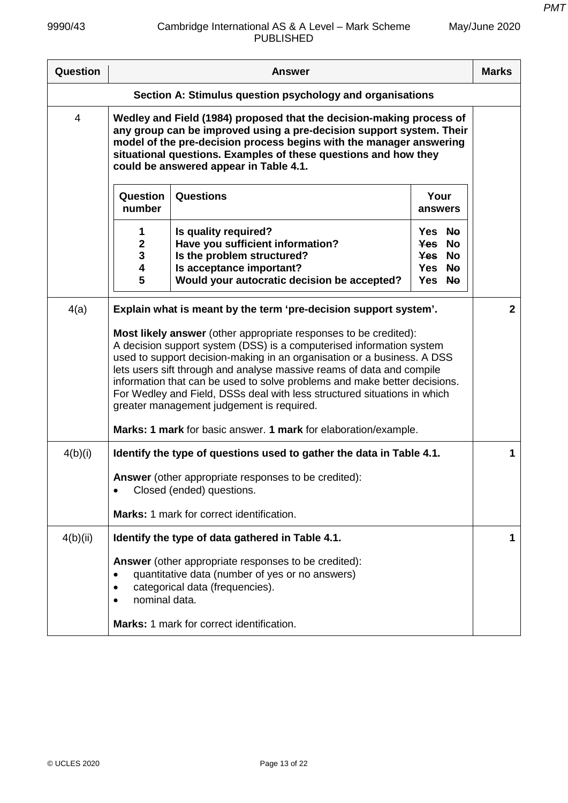| May/June 2020 |  |
|---------------|--|
|---------------|--|

| Question       | <b>Answer</b>                                                                                                                                                                                                                                                                                                                                                                                                                                                                                                                                                         |                                                                                                                                                                   | <b>Marks</b>                                   |                |
|----------------|-----------------------------------------------------------------------------------------------------------------------------------------------------------------------------------------------------------------------------------------------------------------------------------------------------------------------------------------------------------------------------------------------------------------------------------------------------------------------------------------------------------------------------------------------------------------------|-------------------------------------------------------------------------------------------------------------------------------------------------------------------|------------------------------------------------|----------------|
|                |                                                                                                                                                                                                                                                                                                                                                                                                                                                                                                                                                                       | Section A: Stimulus question psychology and organisations                                                                                                         |                                                |                |
| $\overline{4}$ | Wedley and Field (1984) proposed that the decision-making process of<br>any group can be improved using a pre-decision support system. Their<br>model of the pre-decision process begins with the manager answering<br>situational questions. Examples of these questions and how they<br>could be answered appear in Table 4.1.                                                                                                                                                                                                                                      |                                                                                                                                                                   |                                                |                |
|                | Question<br>number                                                                                                                                                                                                                                                                                                                                                                                                                                                                                                                                                    | Questions                                                                                                                                                         | Your<br>answers                                |                |
|                | 1<br>$\mathbf 2$<br>3<br>$\overline{\mathbf{4}}$<br>5                                                                                                                                                                                                                                                                                                                                                                                                                                                                                                                 | Is quality required?<br>Have you sufficient information?<br>Is the problem structured?<br>Is acceptance important?<br>Would your autocratic decision be accepted? | Yes No<br>Yes No<br>Yes No<br>Yes No<br>Yes No |                |
| 4(a)           |                                                                                                                                                                                                                                                                                                                                                                                                                                                                                                                                                                       | Explain what is meant by the term 'pre-decision support system'.                                                                                                  |                                                | $\overline{2}$ |
|                | Most likely answer (other appropriate responses to be credited):<br>A decision support system (DSS) is a computerised information system<br>used to support decision-making in an organisation or a business. A DSS<br>lets users sift through and analyse massive reams of data and compile<br>information that can be used to solve problems and make better decisions.<br>For Wedley and Field, DSSs deal with less structured situations in which<br>greater management judgement is required.<br>Marks: 1 mark for basic answer. 1 mark for elaboration/example. |                                                                                                                                                                   |                                                |                |
| 4(b)(i)        |                                                                                                                                                                                                                                                                                                                                                                                                                                                                                                                                                                       | Identify the type of questions used to gather the data in Table 4.1.                                                                                              |                                                | 1              |
|                |                                                                                                                                                                                                                                                                                                                                                                                                                                                                                                                                                                       | <b>Answer</b> (other appropriate responses to be credited):<br>Closed (ended) questions.                                                                          |                                                |                |
|                |                                                                                                                                                                                                                                                                                                                                                                                                                                                                                                                                                                       | <b>Marks: 1 mark for correct identification.</b>                                                                                                                  |                                                |                |
| 4(b)(ii)       |                                                                                                                                                                                                                                                                                                                                                                                                                                                                                                                                                                       | Identify the type of data gathered in Table 4.1.                                                                                                                  |                                                | 1              |
|                | ٠<br>$\bullet$<br>nominal data.<br>$\bullet$                                                                                                                                                                                                                                                                                                                                                                                                                                                                                                                          | Answer (other appropriate responses to be credited):<br>quantitative data (number of yes or no answers)<br>categorical data (frequencies).                        |                                                |                |
|                |                                                                                                                                                                                                                                                                                                                                                                                                                                                                                                                                                                       | Marks: 1 mark for correct identification.                                                                                                                         |                                                |                |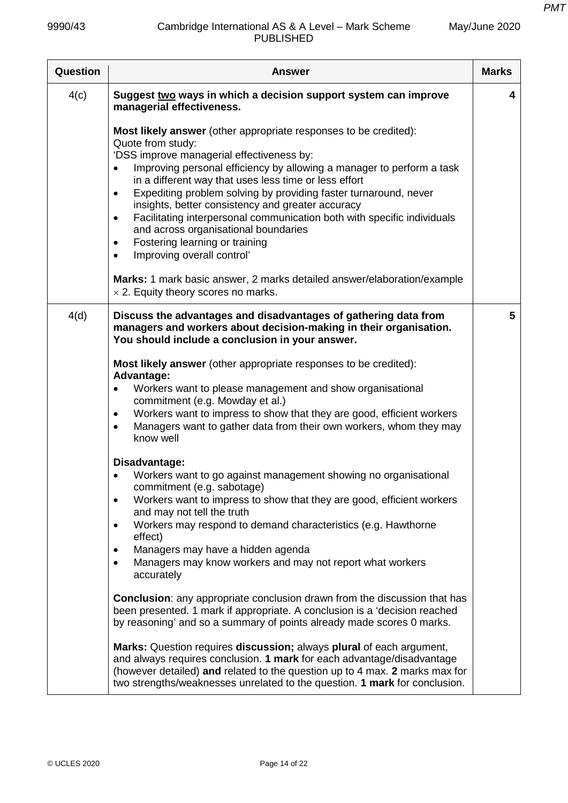| Question | <b>Answer</b>                                                                                                                                                                                                                                                                                                                                                                                                                                                                                                                                                                                                                | <b>Marks</b> |
|----------|------------------------------------------------------------------------------------------------------------------------------------------------------------------------------------------------------------------------------------------------------------------------------------------------------------------------------------------------------------------------------------------------------------------------------------------------------------------------------------------------------------------------------------------------------------------------------------------------------------------------------|--------------|
| 4(c)     | Suggest two ways in which a decision support system can improve<br>managerial effectiveness.                                                                                                                                                                                                                                                                                                                                                                                                                                                                                                                                 | 4            |
|          | Most likely answer (other appropriate responses to be credited):<br>Quote from study:<br>'DSS improve managerial effectiveness by:<br>Improving personal efficiency by allowing a manager to perform a task<br>in a different way that uses less time or less effort<br>Expediting problem solving by providing faster turnaround, never<br>$\bullet$<br>insights, better consistency and greater accuracy<br>Facilitating interpersonal communication both with specific individuals<br>$\bullet$<br>and across organisational boundaries<br>Fostering learning or training<br>$\bullet$<br>Improving overall control'<br>٠ |              |
|          | <b>Marks:</b> 1 mark basic answer, 2 marks detailed answer/elaboration/example<br>$\times$ 2. Equity theory scores no marks.                                                                                                                                                                                                                                                                                                                                                                                                                                                                                                 |              |
| 4(d)     | Discuss the advantages and disadvantages of gathering data from<br>managers and workers about decision-making in their organisation.<br>You should include a conclusion in your answer.                                                                                                                                                                                                                                                                                                                                                                                                                                      | 5            |
|          | Most likely answer (other appropriate responses to be credited):<br><b>Advantage:</b><br>Workers want to please management and show organisational<br>commitment (e.g. Mowday et al.)<br>Workers want to impress to show that they are good, efficient workers<br>$\bullet$<br>Managers want to gather data from their own workers, whom they may<br>$\bullet$<br>know well                                                                                                                                                                                                                                                  |              |
|          | Disadvantage:<br>Workers want to go against management showing no organisational<br>commitment (e.g. sabotage)<br>Workers want to impress to show that they are good, efficient workers<br>$\bullet$<br>and may not tell the truth<br>Workers may respond to demand characteristics (e.g. Hawthorne<br>effect)<br>Managers may have a hidden agenda<br>$\bullet$<br>Managers may know workers and may not report what workers<br>$\bullet$<br>accurately                                                                                                                                                                     |              |
|          | <b>Conclusion:</b> any appropriate conclusion drawn from the discussion that has<br>been presented. 1 mark if appropriate. A conclusion is a 'decision reached<br>by reasoning' and so a summary of points already made scores 0 marks.                                                                                                                                                                                                                                                                                                                                                                                      |              |
|          | Marks: Question requires discussion; always plural of each argument,<br>and always requires conclusion. 1 mark for each advantage/disadvantage<br>(however detailed) and related to the question up to 4 max. 2 marks max for<br>two strengths/weaknesses unrelated to the question. 1 mark for conclusion.                                                                                                                                                                                                                                                                                                                  |              |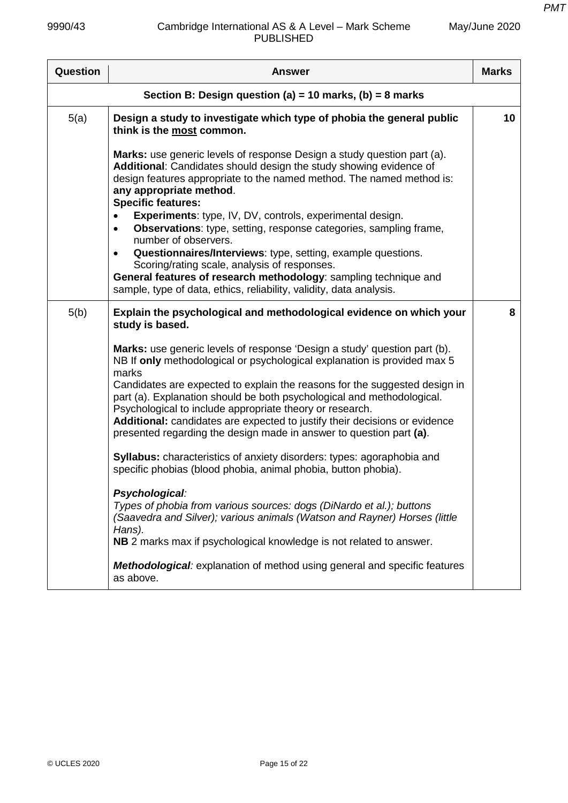|  | May/June 2020 |
|--|---------------|
|--|---------------|

| Question | <b>Answer</b>                                                                                                                                                                                                                                                                                                                                                         | <b>Marks</b> |
|----------|-----------------------------------------------------------------------------------------------------------------------------------------------------------------------------------------------------------------------------------------------------------------------------------------------------------------------------------------------------------------------|--------------|
|          | Section B: Design question (a) = 10 marks, (b) = 8 marks                                                                                                                                                                                                                                                                                                              |              |
| 5(a)     | Design a study to investigate which type of phobia the general public<br>think is the most common.                                                                                                                                                                                                                                                                    | 10           |
|          | Marks: use generic levels of response Design a study question part (a).<br>Additional: Candidates should design the study showing evidence of<br>design features appropriate to the named method. The named method is:<br>any appropriate method.<br><b>Specific features:</b>                                                                                        |              |
|          | Experiments: type, IV, DV, controls, experimental design.<br><b>Observations:</b> type, setting, response categories, sampling frame,<br>$\bullet$<br>number of observers.                                                                                                                                                                                            |              |
|          | Questionnaires/Interviews: type, setting, example questions.<br>$\bullet$<br>Scoring/rating scale, analysis of responses.<br>General features of research methodology: sampling technique and<br>sample, type of data, ethics, reliability, validity, data analysis.                                                                                                  |              |
| 5(b)     | Explain the psychological and methodological evidence on which your<br>study is based.                                                                                                                                                                                                                                                                                | 8            |
|          | Marks: use generic levels of response 'Design a study' question part (b).<br>NB If only methodological or psychological explanation is provided max 5<br>marks                                                                                                                                                                                                        |              |
|          | Candidates are expected to explain the reasons for the suggested design in<br>part (a). Explanation should be both psychological and methodological.<br>Psychological to include appropriate theory or research.<br>Additional: candidates are expected to justify their decisions or evidence<br>presented regarding the design made in answer to question part (a). |              |
|          | Syllabus: characteristics of anxiety disorders: types: agoraphobia and<br>specific phobias (blood phobia, animal phobia, button phobia).                                                                                                                                                                                                                              |              |
|          | Psychological:<br>Types of phobia from various sources: dogs (DiNardo et al.); buttons<br>(Saavedra and Silver); various animals (Watson and Rayner) Horses (little<br>Hans).<br>NB 2 marks max if psychological knowledge is not related to answer.                                                                                                                  |              |
|          | <b>Methodological:</b> explanation of method using general and specific features<br>as above.                                                                                                                                                                                                                                                                         |              |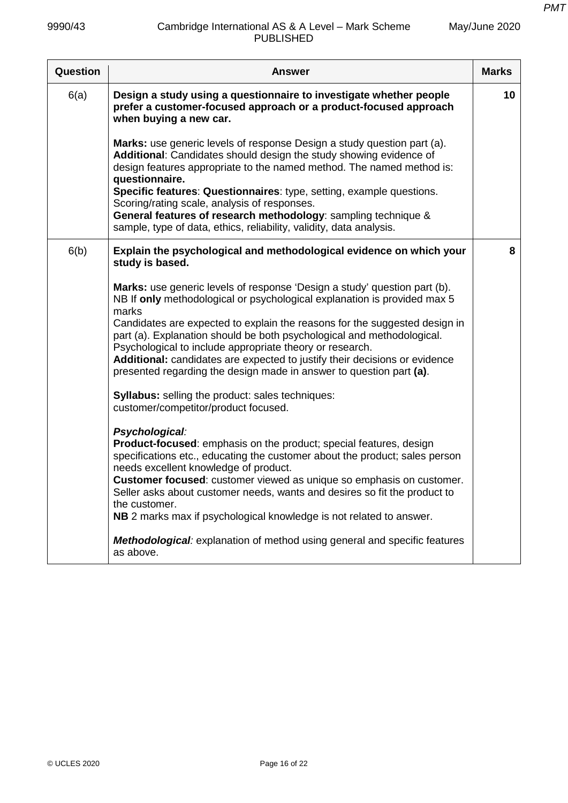| Question | Answer                                                                                                                                                                                                                                                                                                                                                                                                                                                                                                                                  | <b>Marks</b> |
|----------|-----------------------------------------------------------------------------------------------------------------------------------------------------------------------------------------------------------------------------------------------------------------------------------------------------------------------------------------------------------------------------------------------------------------------------------------------------------------------------------------------------------------------------------------|--------------|
| 6(a)     | Design a study using a questionnaire to investigate whether people<br>prefer a customer-focused approach or a product-focused approach<br>when buying a new car.                                                                                                                                                                                                                                                                                                                                                                        | 10           |
|          | Marks: use generic levels of response Design a study question part (a).<br>Additional: Candidates should design the study showing evidence of<br>design features appropriate to the named method. The named method is:<br>questionnaire.<br>Specific features: Questionnaires: type, setting, example questions.<br>Scoring/rating scale, analysis of responses.<br>General features of research methodology: sampling technique &<br>sample, type of data, ethics, reliability, validity, data analysis.                               |              |
| 6(b)     | Explain the psychological and methodological evidence on which your<br>study is based.                                                                                                                                                                                                                                                                                                                                                                                                                                                  | 8            |
|          | Marks: use generic levels of response 'Design a study' question part (b).<br>NB If only methodological or psychological explanation is provided max 5<br>marks<br>Candidates are expected to explain the reasons for the suggested design in<br>part (a). Explanation should be both psychological and methodological.<br>Psychological to include appropriate theory or research.<br>Additional: candidates are expected to justify their decisions or evidence<br>presented regarding the design made in answer to question part (a). |              |
|          | <b>Syllabus:</b> selling the product: sales techniques:<br>customer/competitor/product focused.                                                                                                                                                                                                                                                                                                                                                                                                                                         |              |
|          | Psychological:<br>Product-focused: emphasis on the product; special features, design<br>specifications etc., educating the customer about the product; sales person<br>needs excellent knowledge of product.<br>Customer focused: customer viewed as unique so emphasis on customer.<br>Seller asks about customer needs, wants and desires so fit the product to<br>the customer.<br>NB 2 marks max if psychological knowledge is not related to answer.                                                                               |              |
|          | Methodological: explanation of method using general and specific features<br>as above.                                                                                                                                                                                                                                                                                                                                                                                                                                                  |              |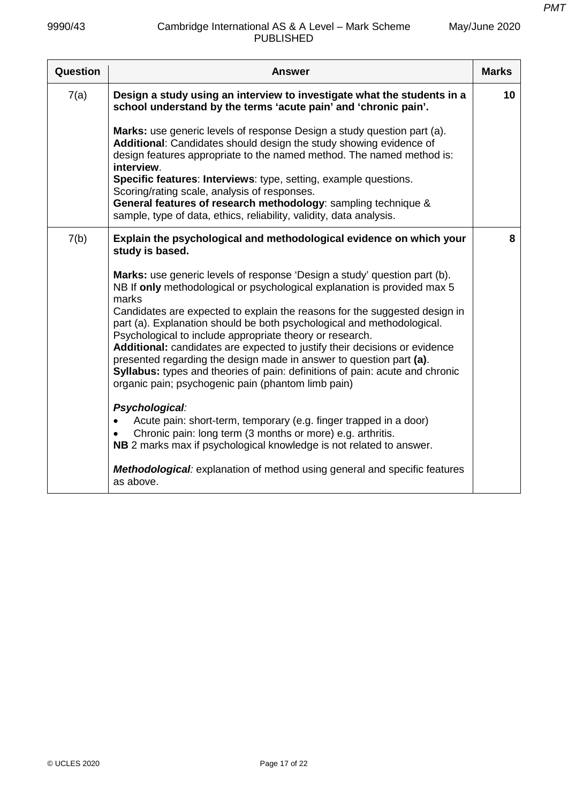| Question | <b>Answer</b>                                                                                                                                                                                                                                                                                                                                                                                                                                                                                                                                                                                                                                                                 | <b>Marks</b> |
|----------|-------------------------------------------------------------------------------------------------------------------------------------------------------------------------------------------------------------------------------------------------------------------------------------------------------------------------------------------------------------------------------------------------------------------------------------------------------------------------------------------------------------------------------------------------------------------------------------------------------------------------------------------------------------------------------|--------------|
| 7(a)     | Design a study using an interview to investigate what the students in a<br>school understand by the terms 'acute pain' and 'chronic pain'.                                                                                                                                                                                                                                                                                                                                                                                                                                                                                                                                    | 10           |
|          | Marks: use generic levels of response Design a study question part (a).<br>Additional: Candidates should design the study showing evidence of<br>design features appropriate to the named method. The named method is:<br>interview.<br>Specific features: Interviews: type, setting, example questions.<br>Scoring/rating scale, analysis of responses.<br>General features of research methodology: sampling technique &<br>sample, type of data, ethics, reliability, validity, data analysis.                                                                                                                                                                             |              |
|          |                                                                                                                                                                                                                                                                                                                                                                                                                                                                                                                                                                                                                                                                               |              |
| 7(b)     | Explain the psychological and methodological evidence on which your<br>study is based.                                                                                                                                                                                                                                                                                                                                                                                                                                                                                                                                                                                        | 8            |
|          | Marks: use generic levels of response 'Design a study' question part (b).<br>NB If only methodological or psychological explanation is provided max 5<br>marks<br>Candidates are expected to explain the reasons for the suggested design in<br>part (a). Explanation should be both psychological and methodological.<br>Psychological to include appropriate theory or research.<br>Additional: candidates are expected to justify their decisions or evidence<br>presented regarding the design made in answer to question part (a).<br>Syllabus: types and theories of pain: definitions of pain: acute and chronic<br>organic pain; psychogenic pain (phantom limb pain) |              |
|          | Psychological:<br>Acute pain: short-term, temporary (e.g. finger trapped in a door)<br>Chronic pain: long term (3 months or more) e.g. arthritis.<br>NB 2 marks max if psychological knowledge is not related to answer.                                                                                                                                                                                                                                                                                                                                                                                                                                                      |              |
|          | <b>Methodological:</b> explanation of method using general and specific features<br>as above.                                                                                                                                                                                                                                                                                                                                                                                                                                                                                                                                                                                 |              |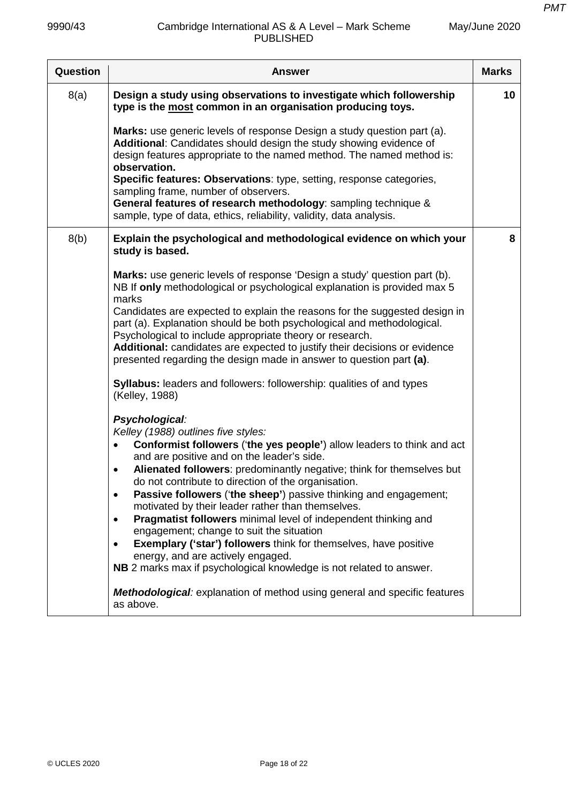| Question | <b>Answer</b>                                                                                                                                                                                                                                                                                                                                                                                                                                                                                                                                                                                                                                                                                                                                                                                                                                                                                                 | <b>Marks</b> |
|----------|---------------------------------------------------------------------------------------------------------------------------------------------------------------------------------------------------------------------------------------------------------------------------------------------------------------------------------------------------------------------------------------------------------------------------------------------------------------------------------------------------------------------------------------------------------------------------------------------------------------------------------------------------------------------------------------------------------------------------------------------------------------------------------------------------------------------------------------------------------------------------------------------------------------|--------------|
| 8(a)     | Design a study using observations to investigate which followership<br>type is the most common in an organisation producing toys.                                                                                                                                                                                                                                                                                                                                                                                                                                                                                                                                                                                                                                                                                                                                                                             | 10           |
|          | Marks: use generic levels of response Design a study question part (a).<br>Additional: Candidates should design the study showing evidence of<br>design features appropriate to the named method. The named method is:<br>observation.<br>Specific features: Observations: type, setting, response categories,<br>sampling frame, number of observers.<br>General features of research methodology: sampling technique &<br>sample, type of data, ethics, reliability, validity, data analysis.                                                                                                                                                                                                                                                                                                                                                                                                               |              |
| 8(b)     | Explain the psychological and methodological evidence on which your<br>study is based.                                                                                                                                                                                                                                                                                                                                                                                                                                                                                                                                                                                                                                                                                                                                                                                                                        | 8            |
|          | Marks: use generic levels of response 'Design a study' question part (b).<br>NB If only methodological or psychological explanation is provided max 5<br>marks<br>Candidates are expected to explain the reasons for the suggested design in<br>part (a). Explanation should be both psychological and methodological.<br>Psychological to include appropriate theory or research.<br>Additional: candidates are expected to justify their decisions or evidence                                                                                                                                                                                                                                                                                                                                                                                                                                              |              |
|          | presented regarding the design made in answer to question part (a).<br><b>Syllabus:</b> leaders and followers: followership: qualities of and types<br>(Kelley, 1988)                                                                                                                                                                                                                                                                                                                                                                                                                                                                                                                                                                                                                                                                                                                                         |              |
|          | Psychological:<br>Kelley (1988) outlines five styles:<br>Conformist followers ('the yes people') allow leaders to think and act<br>$\bullet$<br>and are positive and on the leader's side.<br>Alienated followers: predominantly negative; think for themselves but<br>$\bullet$<br>do not contribute to direction of the organisation.<br>Passive followers ('the sheep') passive thinking and engagement;<br>$\bullet$<br>motivated by their leader rather than themselves.<br>Pragmatist followers minimal level of independent thinking and<br>$\bullet$<br>engagement; change to suit the situation<br><b>Exemplary ('star') followers</b> think for themselves, have positive<br>$\bullet$<br>energy, and are actively engaged.<br>NB 2 marks max if psychological knowledge is not related to answer.<br><b>Methodological:</b> explanation of method using general and specific features<br>as above. |              |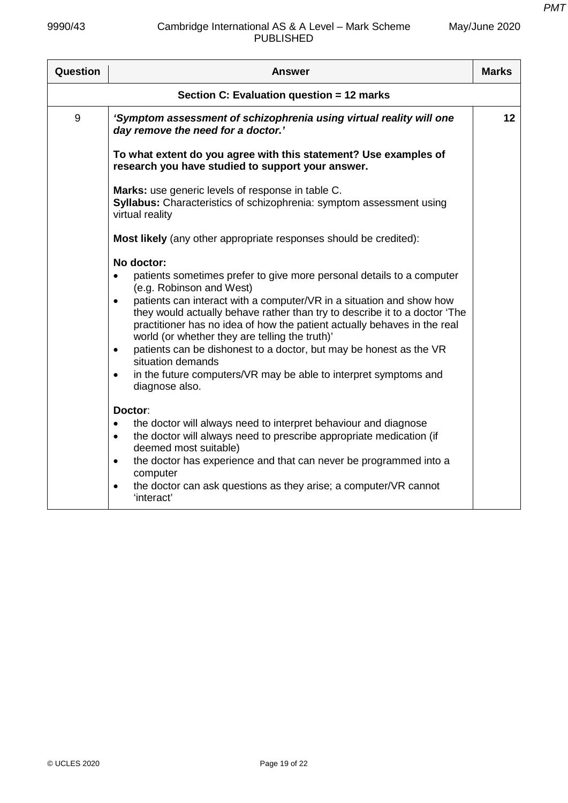| Question | Answer                                                                                                                                                                                                                                                                                                                                                                                                                                                                                                                                                                                                                                   | <b>Marks</b> |
|----------|------------------------------------------------------------------------------------------------------------------------------------------------------------------------------------------------------------------------------------------------------------------------------------------------------------------------------------------------------------------------------------------------------------------------------------------------------------------------------------------------------------------------------------------------------------------------------------------------------------------------------------------|--------------|
|          | Section C: Evaluation question = 12 marks                                                                                                                                                                                                                                                                                                                                                                                                                                                                                                                                                                                                |              |
| 9        | 'Symptom assessment of schizophrenia using virtual reality will one<br>day remove the need for a doctor.'                                                                                                                                                                                                                                                                                                                                                                                                                                                                                                                                | 12           |
|          | To what extent do you agree with this statement? Use examples of<br>research you have studied to support your answer.                                                                                                                                                                                                                                                                                                                                                                                                                                                                                                                    |              |
|          | Marks: use generic levels of response in table C.<br>Syllabus: Characteristics of schizophrenia: symptom assessment using<br>virtual reality                                                                                                                                                                                                                                                                                                                                                                                                                                                                                             |              |
|          | Most likely (any other appropriate responses should be credited):                                                                                                                                                                                                                                                                                                                                                                                                                                                                                                                                                                        |              |
|          | No doctor:<br>patients sometimes prefer to give more personal details to a computer<br>$\bullet$<br>(e.g. Robinson and West)<br>patients can interact with a computer/VR in a situation and show how<br>$\bullet$<br>they would actually behave rather than try to describe it to a doctor 'The<br>practitioner has no idea of how the patient actually behaves in the real<br>world (or whether they are telling the truth)'<br>patients can be dishonest to a doctor, but may be honest as the VR<br>$\bullet$<br>situation demands<br>in the future computers/VR may be able to interpret symptoms and<br>$\bullet$<br>diagnose also. |              |
|          | Doctor:<br>the doctor will always need to interpret behaviour and diagnose<br>$\bullet$<br>the doctor will always need to prescribe appropriate medication (if<br>$\bullet$<br>deemed most suitable)<br>the doctor has experience and that can never be programmed into a<br>$\bullet$<br>computer<br>the doctor can ask questions as they arise; a computer/VR cannot<br>$\bullet$<br>'interact'                                                                                                                                                                                                                                        |              |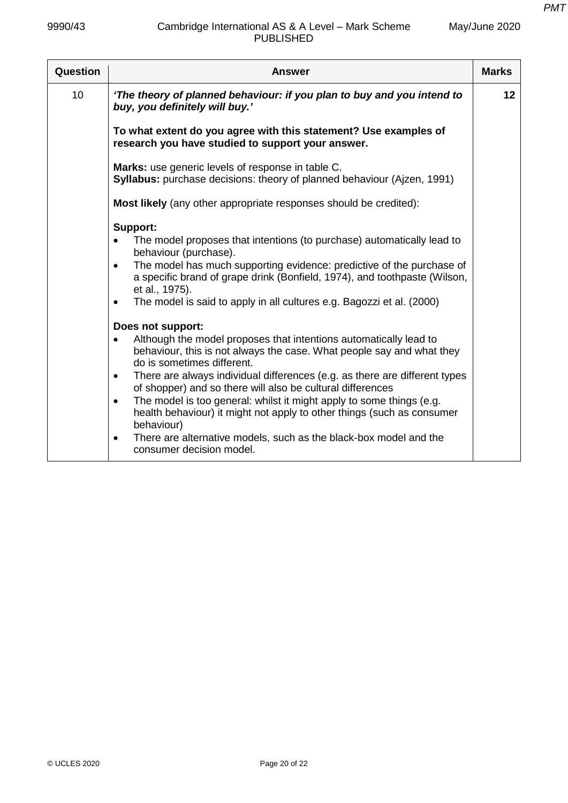| Question        | <b>Answer</b>                                                                                                                                                                                                                                                                                                                                                                                                                                                                                                                                    | <b>Marks</b> |
|-----------------|--------------------------------------------------------------------------------------------------------------------------------------------------------------------------------------------------------------------------------------------------------------------------------------------------------------------------------------------------------------------------------------------------------------------------------------------------------------------------------------------------------------------------------------------------|--------------|
| 10 <sup>1</sup> | 'The theory of planned behaviour: if you plan to buy and you intend to<br>buy, you definitely will buy.'                                                                                                                                                                                                                                                                                                                                                                                                                                         | 12           |
|                 | To what extent do you agree with this statement? Use examples of<br>research you have studied to support your answer.                                                                                                                                                                                                                                                                                                                                                                                                                            |              |
|                 | Marks: use generic levels of response in table C.<br>Syllabus: purchase decisions: theory of planned behaviour (Ajzen, 1991)                                                                                                                                                                                                                                                                                                                                                                                                                     |              |
|                 | Most likely (any other appropriate responses should be credited):                                                                                                                                                                                                                                                                                                                                                                                                                                                                                |              |
|                 | Support:<br>The model proposes that intentions (to purchase) automatically lead to<br>behaviour (purchase).<br>The model has much supporting evidence: predictive of the purchase of<br>$\bullet$<br>a specific brand of grape drink (Bonfield, 1974), and toothpaste (Wilson,<br>et al., 1975).<br>The model is said to apply in all cultures e.g. Bagozzi et al. (2000)<br>$\bullet$                                                                                                                                                           |              |
|                 | Does not support:<br>Although the model proposes that intentions automatically lead to<br>$\bullet$<br>behaviour, this is not always the case. What people say and what they<br>do is sometimes different.<br>There are always individual differences (e.g. as there are different types<br>$\bullet$<br>of shopper) and so there will also be cultural differences<br>The model is too general: whilst it might apply to some things (e.g.<br>$\bullet$<br>health behaviour) it might not apply to other things (such as consumer<br>behaviour) |              |
|                 | There are alternative models, such as the black-box model and the<br>$\bullet$<br>consumer decision model.                                                                                                                                                                                                                                                                                                                                                                                                                                       |              |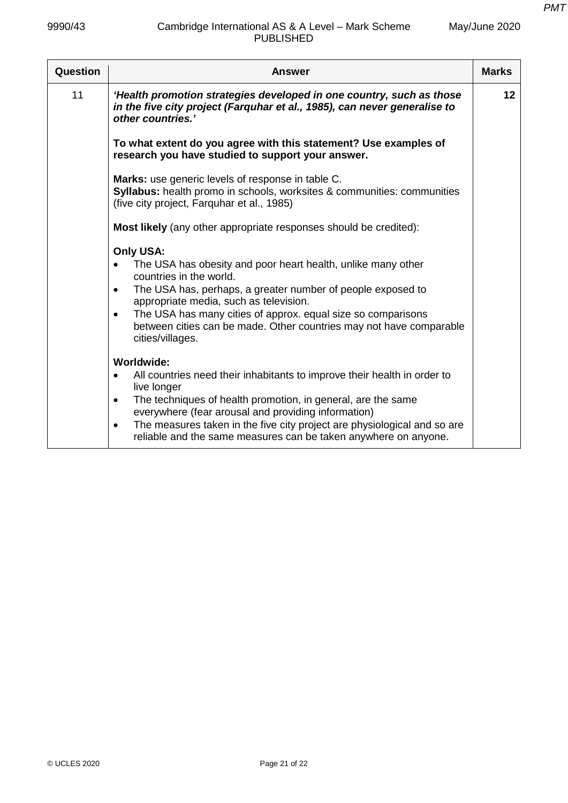| Question | Answer                                                                                                                                                                                                                                                                                                                                                                                                                    | <b>Marks</b> |
|----------|---------------------------------------------------------------------------------------------------------------------------------------------------------------------------------------------------------------------------------------------------------------------------------------------------------------------------------------------------------------------------------------------------------------------------|--------------|
| 11       | 'Health promotion strategies developed in one country, such as those<br>in the five city project (Farquhar et al., 1985), can never generalise to<br>other countries.'                                                                                                                                                                                                                                                    | 12           |
|          | To what extent do you agree with this statement? Use examples of<br>research you have studied to support your answer.                                                                                                                                                                                                                                                                                                     |              |
|          | Marks: use generic levels of response in table C.<br>Syllabus: health promo in schools, worksites & communities: communities<br>(five city project, Farguhar et al., 1985)                                                                                                                                                                                                                                                |              |
|          | <b>Most likely</b> (any other appropriate responses should be credited):                                                                                                                                                                                                                                                                                                                                                  |              |
|          | Only USA:<br>The USA has obesity and poor heart health, unlike many other<br>$\bullet$<br>countries in the world.<br>The USA has, perhaps, a greater number of people exposed to<br>$\bullet$<br>appropriate media, such as television.<br>The USA has many cities of approx. equal size so comparisons<br>$\bullet$<br>between cities can be made. Other countries may not have comparable<br>cities/villages.           |              |
|          | <b>Worldwide:</b><br>All countries need their inhabitants to improve their health in order to<br>$\bullet$<br>live longer<br>The techniques of health promotion, in general, are the same<br>$\bullet$<br>everywhere (fear arousal and providing information)<br>The measures taken in the five city project are physiological and so are<br>$\bullet$<br>reliable and the same measures can be taken anywhere on anyone. |              |